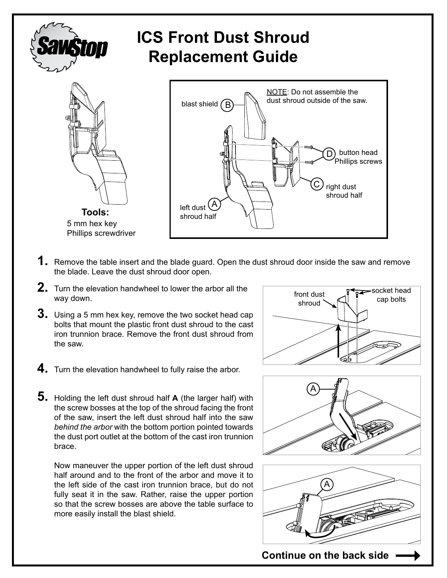

## **ICS Front Dust Shroud Replacement Guide**





- **1.** Remove the table insert and the blade guard. Open the dust shroud door inside the saw and remove the blade. Leave the dust shroud door open.
- **2.** Turn the elevation handwheel to lower the arbor all the way down.
- **3.** Using a 5 mm hex key, remove the two socket head cap bolts that mount the plastic front dust shroud to the cast iron trunnion brace. Remove the front dust shroud from the saw.
- **4.** Turn the elevation handwheel to fully raise the arbor.

**5.** Holding the left dust shroud half **A** (the larger half) with the screw bosses at the top of the shroud facing the front of the saw, insert the left dust shroud half into the saw *behind the arbor* with the bottom portion pointed towards the dust port outlet at the bottom of the cast iron trunnion brace.

Now maneuver the upper portion of the left dust shroud half around and to the front of the arbor and move it to the left side of the cast iron trunnion brace, but do not fully seat it in the saw. Rather, raise the upper portion so that the screw bosses are above the table surface to more easily install the blast shield.







**Continue on the back side**